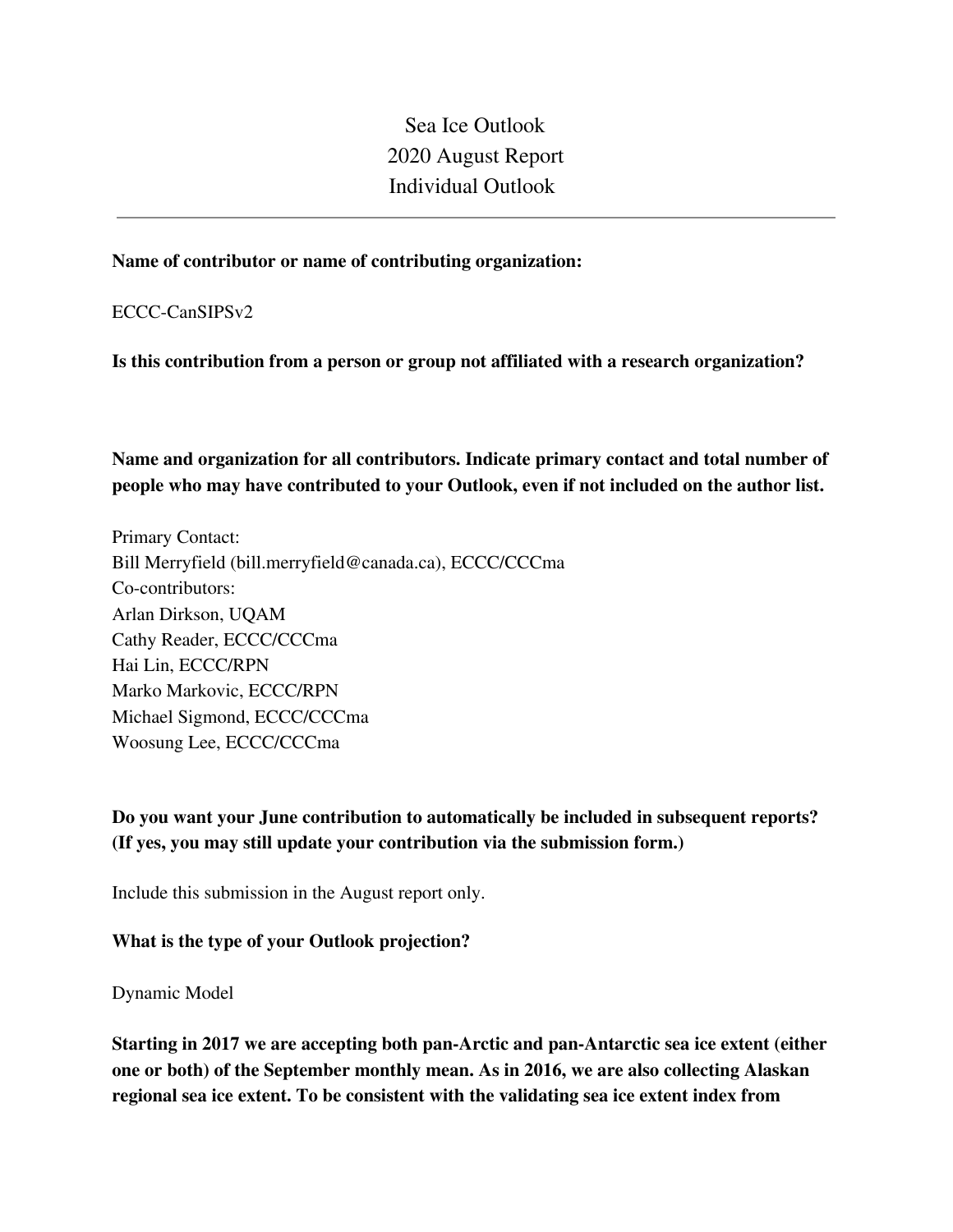Sea Ice Outlook 2020 August Report Individual Outlook

#### **Name of contributor or name of contributing organization:**

ECCC-CanSIPSv2

**Is this contribution from a person or group not affiliated with a research organization?** 

**Name and organization for all contributors. Indicate primary contact and total number of people who may have contributed to your Outlook, even if not included on the author list.**

Primary Contact: Bill Merryfield (bill.merryfield@canada.ca), ECCC/CCCma Co-contributors: Arlan Dirkson, UQAM Cathy Reader, ECCC/CCCma Hai Lin, ECCC/RPN Marko Markovic, ECCC/RPN Michael Sigmond, ECCC/CCCma Woosung Lee, ECCC/CCCma

**Do you want your June contribution to automatically be included in subsequent reports? (If yes, you may still update your contribution via the submission form.)**

Include this submission in the August report only.

#### **What is the type of your Outlook projection?**

Dynamic Model

**Starting in 2017 we are accepting both pan-Arctic and pan-Antarctic sea ice extent (either one or both) of the September monthly mean. As in 2016, we are also collecting Alaskan regional sea ice extent. To be consistent with the validating sea ice extent index from**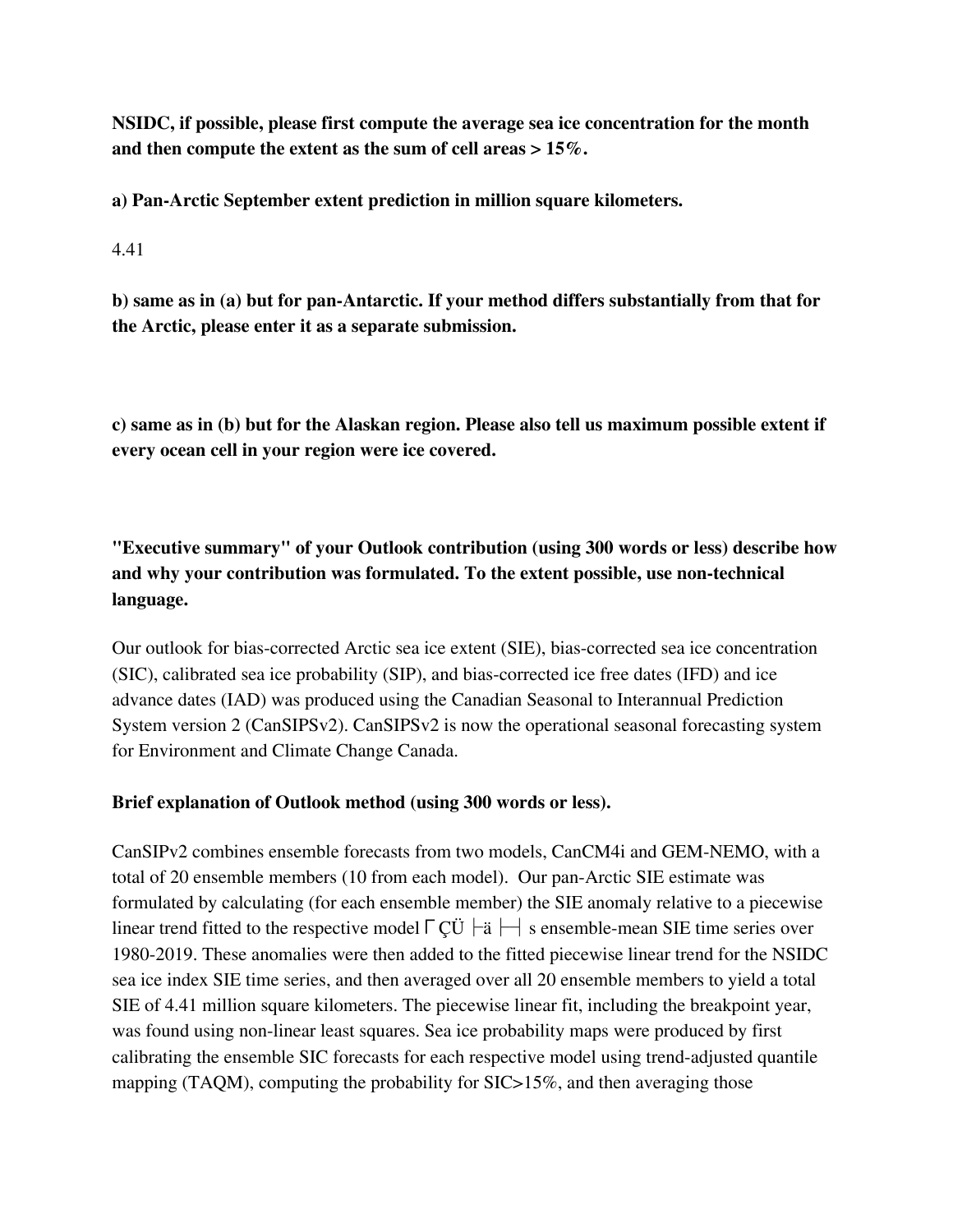**NSIDC, if possible, please first compute the average sea ice concentration for the month and then compute the extent as the sum of cell areas > 15%.**

**a) Pan-Arctic September extent prediction in million square kilometers.**

4.41

**b) same as in (a) but for pan-Antarctic. If your method differs substantially from that for the Arctic, please enter it as a separate submission.**

**c) same as in (b) but for the Alaskan region. Please also tell us maximum possible extent if every ocean cell in your region were ice covered.**

**"Executive summary" of your Outlook contribution (using 300 words or less) describe how and why your contribution was formulated. To the extent possible, use non-technical language.**

Our outlook for bias-corrected Arctic sea ice extent (SIE), bias-corrected sea ice concentration (SIC), calibrated sea ice probability (SIP), and bias-corrected ice free dates (IFD) and ice advance dates (IAD) was produced using the Canadian Seasonal to Interannual Prediction System version 2 (CanSIPSv2). CanSIPSv2 is now the operational seasonal forecasting system for Environment and Climate Change Canada.

### **Brief explanation of Outlook method (using 300 words or less).**

CanSIPv2 combines ensemble forecasts from two models, CanCM4i and GEM-NEMO, with a total of 20 ensemble members (10 from each model). Our pan-Arctic SIE estimate was formulated by calculating (for each ensemble member) the SIE anomaly relative to a piecewise linear trend fitted to the respective model  $\lceil C\ddot{\cup} \rceil - a$  s ensemble-mean SIE time series over 1980-2019. These anomalies were then added to the fitted piecewise linear trend for the NSIDC sea ice index SIE time series, and then averaged over all 20 ensemble members to yield a total SIE of 4.41 million square kilometers. The piecewise linear fit, including the breakpoint year, was found using non-linear least squares. Sea ice probability maps were produced by first calibrating the ensemble SIC forecasts for each respective model using trend-adjusted quantile mapping (TAQM), computing the probability for SIC>15%, and then averaging those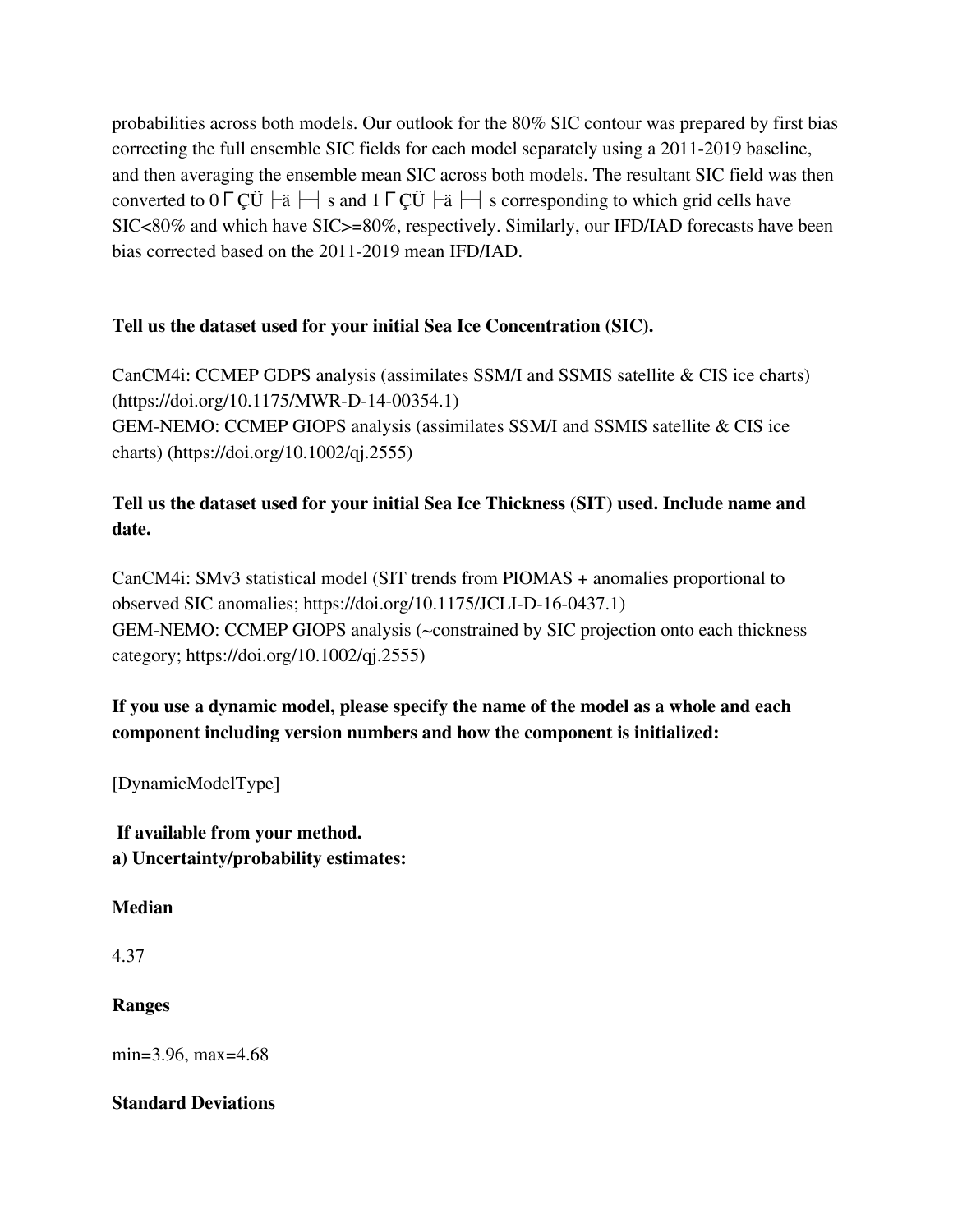probabilities across both models. Our outlook for the 80% SIC contour was prepared by first bias correcting the full ensemble SIC fields for each model separately using a 2011-2019 baseline, and then averaging the ensemble mean SIC across both models. The resultant SIC field was then converted to 0 ΓCÜ  $\vdash$  i s and 1 ΓCÜ  $\vdash$  i  $\vdash$  s corresponding to which grid cells have SIC<80% and which have SIC>=80%, respectively. Similarly, our IFD/IAD forecasts have been bias corrected based on the 2011-2019 mean IFD/IAD.

### **Tell us the dataset used for your initial Sea Ice Concentration (SIC).**

CanCM4i: CCMEP GDPS analysis (assimilates SSM/I and SSMIS satellite & CIS ice charts) (https://doi.org/10.1175/MWR-D-14-00354.1) GEM-NEMO: CCMEP GIOPS analysis (assimilates SSM/I and SSMIS satellite & CIS ice charts) (https://doi.org/10.1002/qj.2555)

# **Tell us the dataset used for your initial Sea Ice Thickness (SIT) used. Include name and date.**

CanCM4i: SMv3 statistical model (SIT trends from PIOMAS + anomalies proportional to observed SIC anomalies; https://doi.org/10.1175/JCLI-D-16-0437.1) GEM-NEMO: CCMEP GIOPS analysis (~constrained by SIC projection onto each thickness category; https://doi.org/10.1002/qj.2555)

## **If you use a dynamic model, please specify the name of the model as a whole and each component including version numbers and how the component is initialized:**

[DynamicModelType]

**If available from your method. a) Uncertainty/probability estimates:**

### **Median**

4.37

## **Ranges**

min=3.96, max=4.68

### **Standard Deviations**